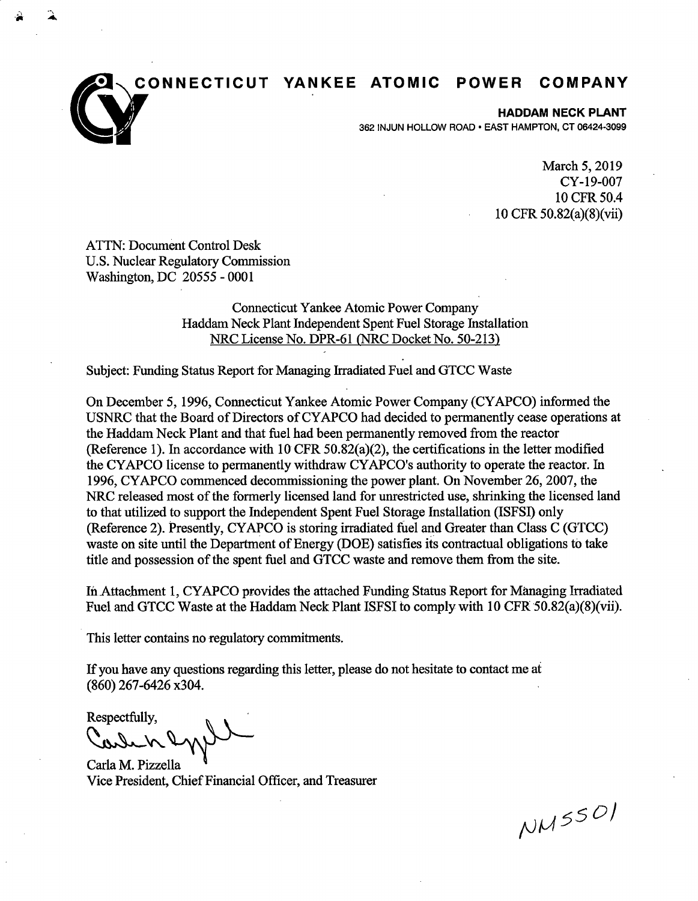**YANKEE ATOMIC POWER COMPANY** 



**HADDAM NECK PLANT**  362 INJUN HOLLOW ROAD • EAST HAMPTON, CT 06424-3099

> March 5, 2019 CY-19-007 10CFR50.4 10 CFR 50.82(a)(8)(vii)

ATTN: Document Control Desk U.S. Nuclear Regulatory Commission Washington, DC 20555 - 0001

> Connecticut Yankee Atomic Power Company Haddam Neck Plant Independent Spent Fuel Storage Installation NRC License No. DPR-61 (NRC Docket No. 50-213)

Subject: Funding Status Report for Managing Irradiated Fuel and GTCC Waste

On December 5, 1996, Connecticut Yankee Atomic Power Company (CYAPCO) informed the USNRC that the Board of Directors of CY APCO had decided to permanently cease operations at the Haddam Neck Plant and that fuel had been permanently removed from the reactor (Reference 1). In accordance with 10 CFR 50.82(a)(2), the certifications in the letter modified the CY APCO license to permanently withdraw CY APCO's authority to operate the reactor. In 1996, CY APCO commenced decommissioning the power plant. On November 26, 2007, the NRC released most of the formerly licensed land for unrestricted use, shrinking the licensed land to that utilized to support the Independent Spent Fuel Storage Installation (ISFSI) only (Reference 2). Presently, CY APCO is storing irradiated fuel and Greater than Class C (GTCC) waste on site until the Department of Energy (DOE) satisfies its contractual obligations to take title and possession of the spent fuel and GTCC waste and remove them from the site.

In Attachment 1, CY APCO provides the attached Funding Status Report for Managing Irradiated Fuel and GTCC Waste at the Haddam Neck Plant ISFSI to comply with 10 CFR 50.82(a)(8)(vii).

This letter contains no regulatory commitments.

If you have any questions regarding this letter, please do not hesitate to contact me at (860) 267-6426 x304.

Respectfully,

Carle K Ry Wood<br>Carla M. Pizzella<br>Vice President, Chief Financial Officer, and Treasurer

 $NMSSO$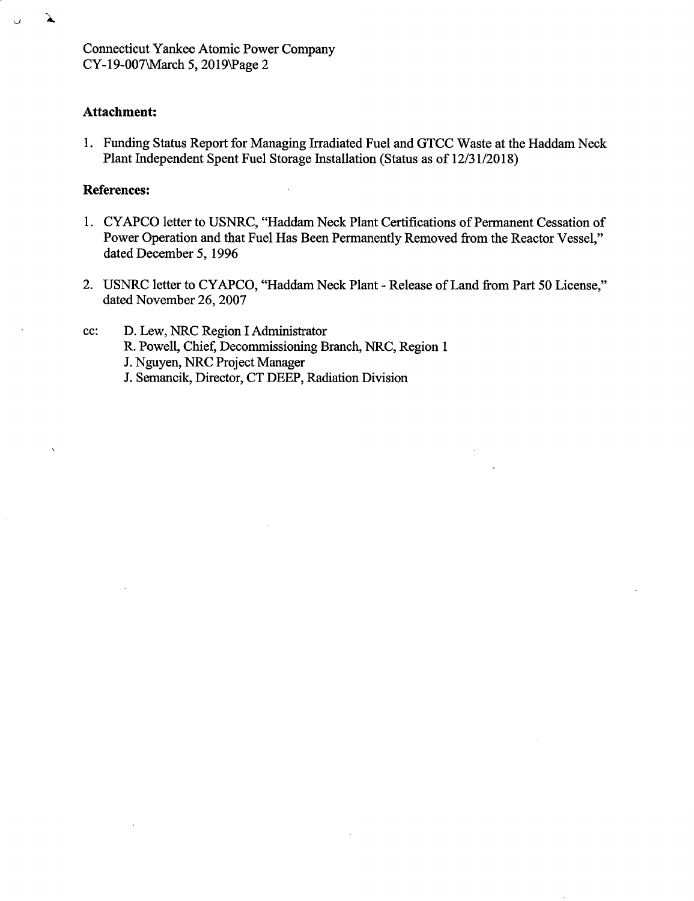Connecticut Yankee Atomic Power Company CY-19-007\March *5,* 2019\Page 2

### **Attachment:**

À

1. Funding Status Report for Managing Irradiated Fuel and GTCC Waste at the Haddam Neck Plant Independent Spent Fuel Storage Installation (Status as of 12/31/2018)

### **References:**

- 1. CY APCO letter to USNRC, "Haddam Neck Plant Certifications of Permanent Cessation of Power Operation and that Fuel Has Been Permanently Removed from the Reactor Vessel," dated December *5,* 1996
- 2. USNRC letter to CY APCO, "Haddam Neck Plant Release of Land from Part 50 License," dated November 26, 2007
- cc: D. Lew, NRC Region I Administrator R. Powell, Chief, Decommissioning Branch, NRC, Region 1 J. Nguyen, NRC Project Manager J. Semancik, Director, CT DEEP, Radiation Division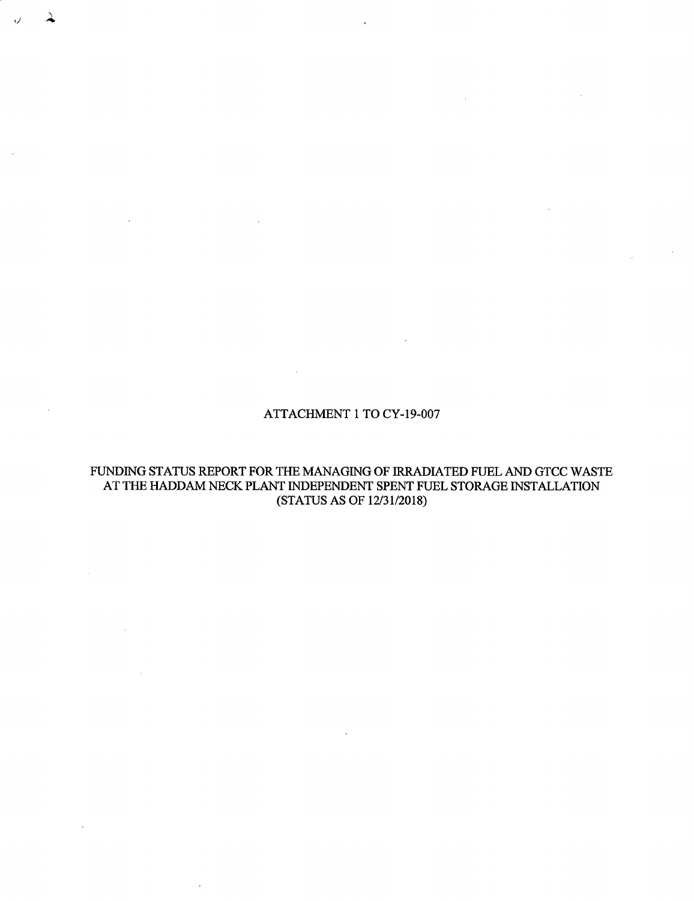#### ATTACHMENT 1 TO CY-19-007

,)

### FUNDING STATUS REPORT FOR THE MANAGING OF IRRADIATED FUEL AND GTCC WASTE AT THE HADDAM NECK PLANT INDEPENDENT SPENT FUEL STORAGE INSTALLATION (STATUS AS OF 12/31/2018)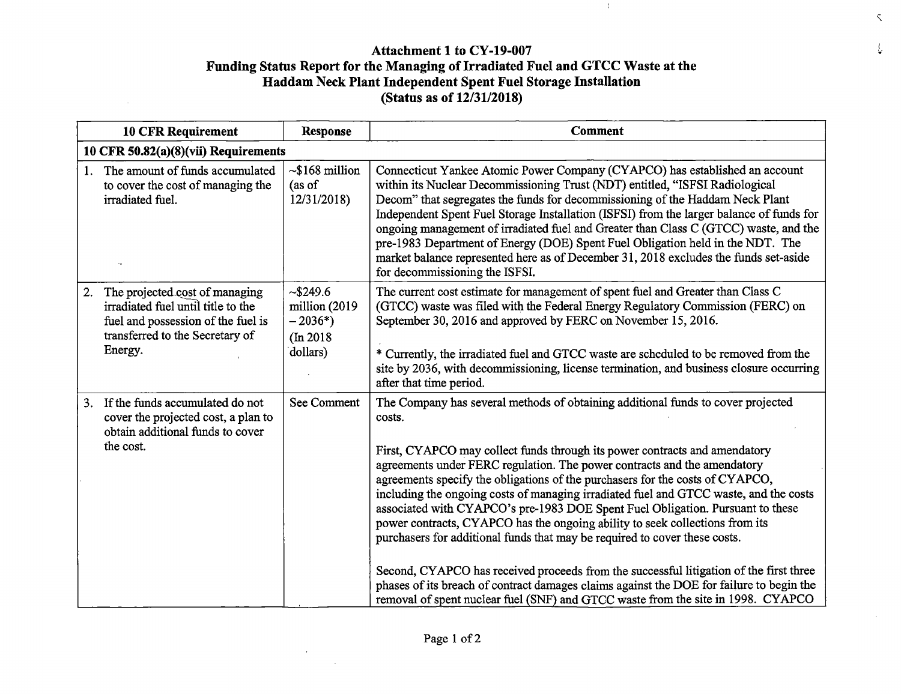# **Attachment 1 to CY-19-007 Funding Status Report for the Managing of Irradiated Fuel and GTCC Waste at the Haddam Neck Plant Independent Spent Fuel Storage Installation (Status as of 12/31/2018)**

 $\sim$ 

 $\langle \cdot \rangle$ 

*L-*

 $\sim$ 

 $\bar{\varsigma}$ 

| <b>10 CFR Requirement</b>                                                                                                                                      | <b>Response</b>                                                | <b>Comment</b>                                                                                                                                                                                                                                                                                                                                                                                                                                                                                                                                                                                                                                                                                                                                                                                                                                                                                                                                           |  |
|----------------------------------------------------------------------------------------------------------------------------------------------------------------|----------------------------------------------------------------|----------------------------------------------------------------------------------------------------------------------------------------------------------------------------------------------------------------------------------------------------------------------------------------------------------------------------------------------------------------------------------------------------------------------------------------------------------------------------------------------------------------------------------------------------------------------------------------------------------------------------------------------------------------------------------------------------------------------------------------------------------------------------------------------------------------------------------------------------------------------------------------------------------------------------------------------------------|--|
| 10 CFR $50.82(a)(8)(vi)$ Requirements                                                                                                                          |                                                                |                                                                                                                                                                                                                                                                                                                                                                                                                                                                                                                                                                                                                                                                                                                                                                                                                                                                                                                                                          |  |
| The amount of funds accumulated<br>1.<br>to cover the cost of managing the<br>irradiated fuel.                                                                 | $\sim$ \$168 million<br>(as of<br>12/31/2018)                  | Connecticut Yankee Atomic Power Company (CYAPCO) has established an account<br>within its Nuclear Decommissioning Trust (NDT) entitled, "ISFSI Radiological<br>Decom" that segregates the funds for decommissioning of the Haddam Neck Plant<br>Independent Spent Fuel Storage Installation (ISFSI) from the larger balance of funds for<br>ongoing management of irradiated fuel and Greater than Class C (GTCC) waste, and the<br>pre-1983 Department of Energy (DOE) Spent Fuel Obligation held in the NDT. The<br>market balance represented here as of December 31, 2018 excludes the funds set-aside<br>for decommissioning the ISFSI.                                                                                                                                                                                                                                                                                                             |  |
| 2.<br>The projected cost of managing<br>irradiated fuel until title to the<br>fuel and possession of the fuel is<br>transferred to the Secretary of<br>Energy. | ~5249.6<br>million (2019<br>$-2036*)$<br>(In 2018)<br>dollars) | The current cost estimate for management of spent fuel and Greater than Class C<br>(GTCC) waste was filed with the Federal Energy Regulatory Commission (FERC) on<br>September 30, 2016 and approved by FERC on November 15, 2016.<br>* Currently, the irradiated fuel and GTCC waste are scheduled to be removed from the<br>site by 2036, with decommissioning, license termination, and business closure occurring<br>after that time period.                                                                                                                                                                                                                                                                                                                                                                                                                                                                                                         |  |
| If the funds accumulated do not<br>3 <sub>1</sub><br>cover the projected cost, a plan to<br>obtain additional funds to cover<br>the cost.                      | See Comment                                                    | The Company has several methods of obtaining additional funds to cover projected<br>costs.<br>First, CYAPCO may collect funds through its power contracts and amendatory<br>agreements under FERC regulation. The power contracts and the amendatory<br>agreements specify the obligations of the purchasers for the costs of CYAPCO,<br>including the ongoing costs of managing irradiated fuel and GTCC waste, and the costs<br>associated with CYAPCO's pre-1983 DOE Spent Fuel Obligation. Pursuant to these<br>power contracts, CYAPCO has the ongoing ability to seek collections from its<br>purchasers for additional funds that may be required to cover these costs.<br>Second, CYAPCO has received proceeds from the successful litigation of the first three<br>phases of its breach of contract damages claims against the DOE for failure to begin the<br>removal of spent nuclear fuel (SNF) and GTCC waste from the site in 1998. CYAPCO |  |

 $\mathbf{r}$ 

 $\alpha$